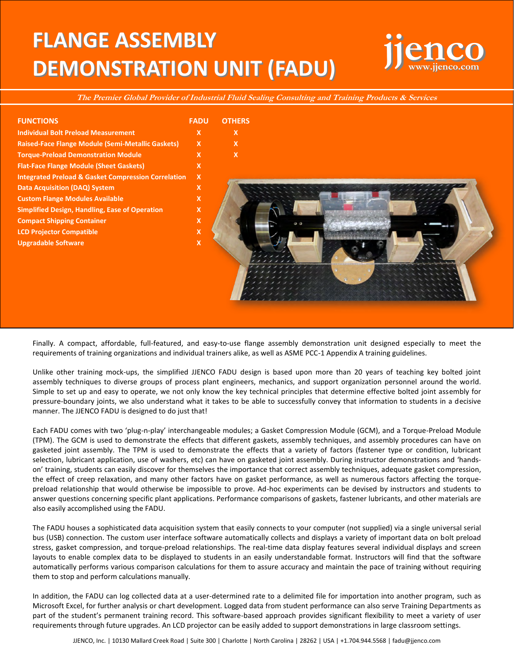## **FLANGE ASSEMBLY DEMONSTRATION UNIT (FADU)**

## **jjenco www.jjenco.com**

**The Premier Global Provider of Industrial Fluid Sealing Consulting and Training Products & Services** 

| <b>FUNCTIONS</b>                                               | <b>FADU</b>               | <b>OTHERS</b>             |
|----------------------------------------------------------------|---------------------------|---------------------------|
| <b>Individual Bolt Preload Measurement</b>                     | X                         | $\mathbf x$               |
| Raised-Face Flange Module (Semi-Metallic Gaskets)              | $\mathsf{X}$              | $\boldsymbol{\mathsf{x}}$ |
| <b>Torque-Preload Demonstration Module</b>                     | $\mathbf{x}$              | $\boldsymbol{\mathsf{x}}$ |
| <b>Flat-Face Flange Module (Sheet Gaskets)</b>                 | $\mathbf{x}$              |                           |
| <b>Integrated Preload &amp; Gasket Compression Correlation</b> | $\boldsymbol{\mathsf{x}}$ |                           |
| <b>Data Acquisition (DAQ) System</b>                           | X                         |                           |
| <b>Custom Flange Modules Available</b>                         | X                         |                           |
| <b>Simplified Design, Handling, Ease of Operation</b>          | $\mathsf{x}$              |                           |
| <b>Compact Shipping Container</b>                              | X                         |                           |
| <b>LCD Projector Compatible</b>                                | X                         |                           |
| <b>Upgradable Software</b>                                     | $\mathsf{x}$              |                           |
|                                                                |                           |                           |
|                                                                |                           |                           |
|                                                                |                           |                           |
|                                                                |                           |                           |
|                                                                |                           |                           |
|                                                                |                           |                           |
|                                                                |                           |                           |

Finally. A compact, affordable, full-featured, and easy-to-use flange assembly demonstration unit designed especially to meet the requirements of training organizations and individual trainers alike, as well as ASME PCC-1 Appendix A training guidelines.

Unlike other training mock-ups, the simplified JJENCO FADU design is based upon more than 20 years of teaching key bolted joint assembly techniques to diverse groups of process plant engineers, mechanics, and support organization personnel around the world. Simple to set up and easy to operate, we not only know the key technical principles that determine effective bolted joint assembly for pressure-boundary joints, we also understand what it takes to be able to successfully convey that information to students in a decisive manner. The JJENCO FADU is designed to do just that!

Each FADU comes with two 'plug-n-play' interchangeable modules; a Gasket Compression Module (GCM), and a Torque-Preload Module (TPM). The GCM is used to demonstrate the effects that different gaskets, assembly techniques, and assembly procedures can have on gasketed joint assembly. The TPM is used to demonstrate the effects that a variety of factors (fastener type or condition, lubricant selection, lubricant application, use of washers, etc) can have on gasketed joint assembly. During instructor demonstrations and 'handson' training, students can easily discover for themselves the importance that correct assembly techniques, adequate gasket compression, the effect of creep relaxation, and many other factors have on gasket performance, as well as numerous factors affecting the torquepreload relationship that would otherwise be impossible to prove. Ad-hoc experiments can be devised by instructors and students to answer questions concerning specific plant applications. Performance comparisons of gaskets, fastener lubricants, and other materials are also easily accomplished using the FADU.

The FADU houses a sophisticated data acquisition system that easily connects to your computer (not supplied) via a single universal serial bus (USB) connection. The custom user interface software automatically collects and displays a variety of important data on bolt preload stress, gasket compression, and torque-preload relationships. The real-time data display features several individual displays and screen layouts to enable complex data to be displayed to students in an easily understandable format. Instructors will find that the software automatically performs various comparison calculations for them to assure accuracy and maintain the pace of training without requiring them to stop and perform calculations manually.

In addition, the FADU can log collected data at a user-determined rate to a delimited file for importation into another program, such as Microsoft Excel, for further analysis or chart development. Logged data from student performance can also serve Training Departments as part of the student's permanent training record. This software-based approach provides significant flexibility to meet a variety of user requirements through future upgrades. An LCD projector can be easily added to support demonstrations in large classroom settings.